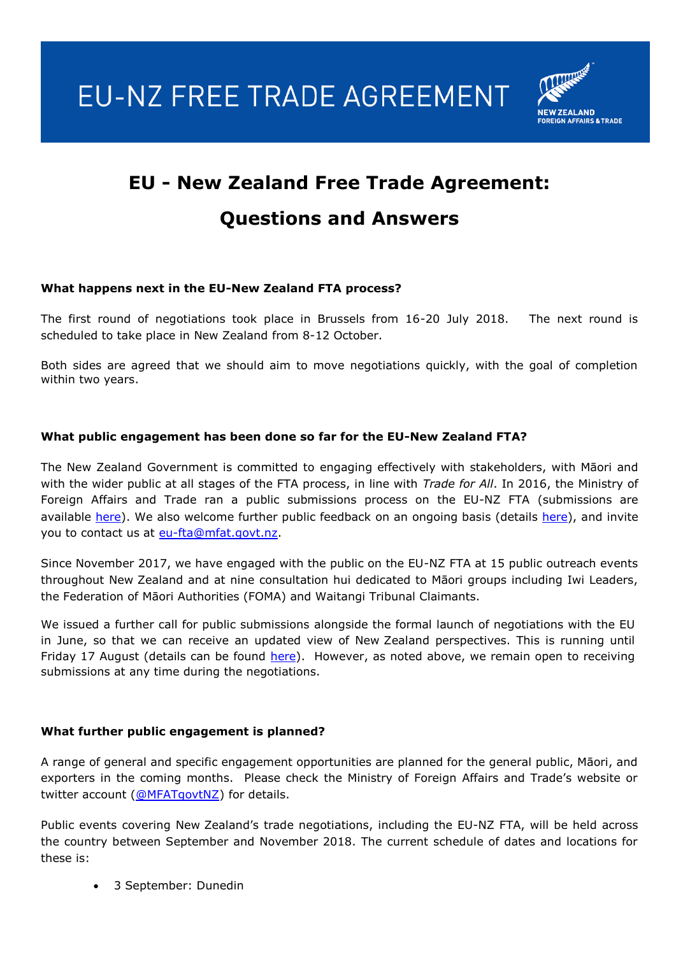EU-NZ FREE TRADE AGREEMENT



# **EU - New Zealand Free Trade Agreement: Questions and Answers**

# **What happens next in the EU-New Zealand FTA process?**

The first round of negotiations took place in Brussels from 16-20 July 2018. The next round is scheduled to take place in New Zealand from 8-12 October.

Both sides are agreed that we should aim to move negotiations quickly, with the goal of completion within two years.

# **What public engagement has been done so far for the EU-New Zealand FTA?**

The New Zealand Government is committed to engaging effectively with stakeholders, with Māori and with the wider public at all stages of the FTA process, in line with *Trade for All*. In 2016, the Ministry of Foreign Affairs and Trade ran a public submissions process on the EU-NZ FTA (submissions are available [here\)](https://www.mfat.govt.nz/en/trade/free-trade-agreements/agreements-under-negotiation/eu-fta/nz-eu-fta-public-events/). We also welcome further public feedback on an ongoing basis (details here), and invite you to contact us at [eu-fta@mfat.govt.nz.](mailto:eu-fta@mfat.govt.nz)

Since November 2017, we have engaged with the public on the EU-NZ FTA at 15 public outreach events throughout New Zealand and at nine consultation hui dedicated to Māori groups including Iwi Leaders, the Federation of Māori Authorities (FOMA) and Waitangi Tribunal Claimants.

We issued a further call for public submissions alongside the formal launch of negotiations with the EU in June, so that we can receive an updated view of New Zealand perspectives. This is running until Friday 17 August (details can be found [here\)](https://www.mfat.govt.nz/en/trade/free-trade-agreements/agreements-under-negotiation/eu-fta/nz-eu-fta-public-events/). However, as noted above, we remain open to receiving submissions at any time during the negotiations.

#### **What further public engagement is planned?**

A range of general and specific engagement opportunities are planned for the general public, Māori, and exporters in the coming months. Please check the Ministry of Foreign Affairs and Trade's website or twitter account [\(@MFATgovtNZ\)](https://twitter.com/MFATgovtNZ) for details.

Public events covering New Zealand's trade negotiations, including the EU-NZ FTA, will be held across the country between September and November 2018. The current schedule of dates and locations for these is:

3 September: Dunedin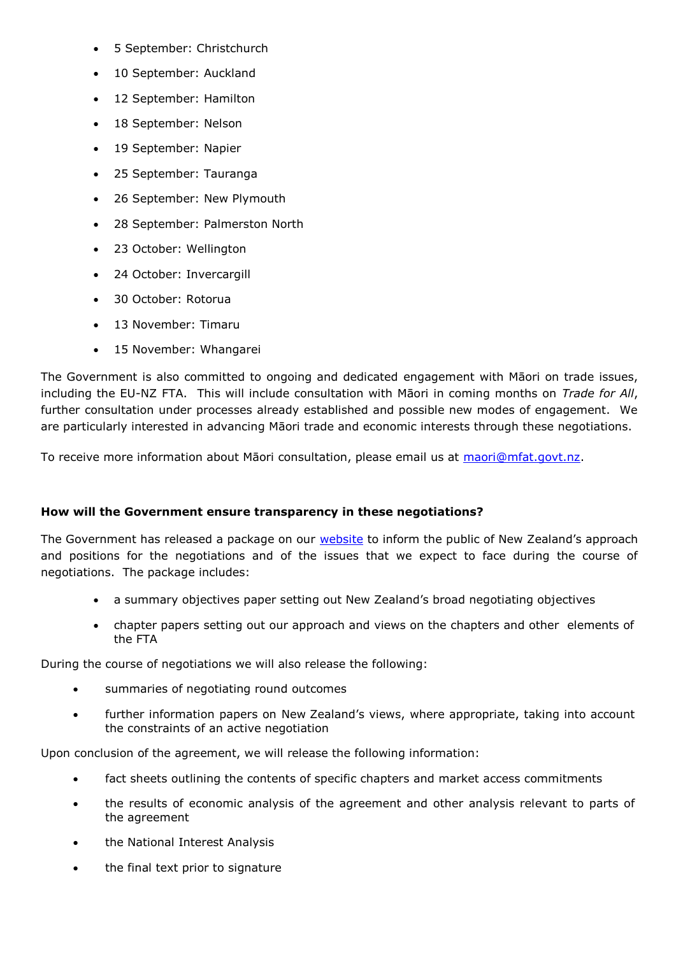- 5 September: Christchurch
- 10 September: Auckland
- 12 September: Hamilton
- 18 September: Nelson
- 19 September: Napier
- 25 September: Tauranga
- 26 September: New Plymouth
- 28 September: Palmerston North
- 23 October: Wellington
- 24 October: Invercargill
- 30 October: Rotorua
- 13 November: Timaru
- 15 November: Whangarei

The Government is also committed to ongoing and dedicated engagement with Māori on trade issues, including the EU-NZ FTA. This will include consultation with Māori in coming months on *Trade for All*, further consultation under processes already established and possible new modes of engagement. We are particularly interested in advancing Māori trade and economic interests through these negotiations.

To receive more information about Māori consultation, please email us at [maori@mfat.govt.nz.](mailto:maori@mfat.govt.nz)

#### **How will the Government ensure transparency in these negotiations?**

The Government has released a package on our **website** to inform the public of New Zealand's approach and positions for the negotiations and of the issues that we expect to face during the course of negotiations. The package includes:

- a summary objectives paper setting out New Zealand's broad negotiating objectives
- chapter papers setting out our approach and views on the chapters and other elements of the FTA

During the course of negotiations we will also release the following:

- summaries of negotiating round outcomes
- further information papers on New Zealand's views, where appropriate, taking into account the constraints of an active negotiation

Upon conclusion of the agreement, we will release the following information:

- fact sheets outlining the contents of specific chapters and market access commitments
- the results of economic analysis of the agreement and other analysis relevant to parts of the agreement
- the National Interest Analysis
- the final text prior to signature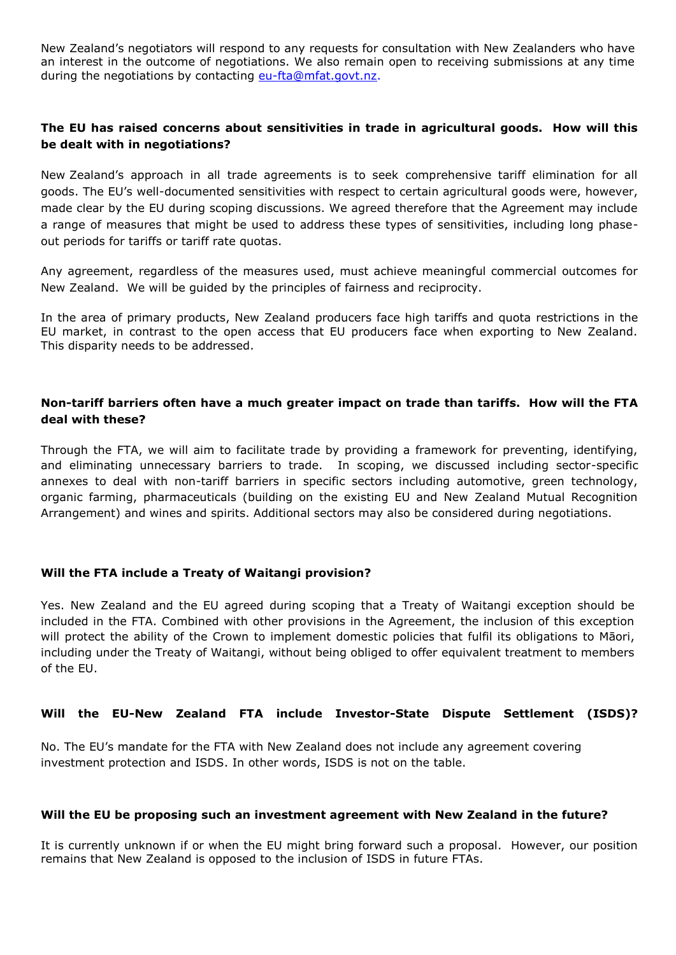New Zealand's negotiators will respond to any requests for consultation with New Zealanders who have an interest in the outcome of negotiations. We also remain open to receiving submissions at any time during the negotiations by contacting [eu-fta@mfat.govt.nz.](mailto:eu-fta@mfat.govt.nz)

# **The EU has raised concerns about sensitivities in trade in agricultural goods. How will this be dealt with in negotiations?**

New Zealand's approach in all trade agreements is to seek comprehensive tariff elimination for all goods. The EU's well-documented sensitivities with respect to certain agricultural goods were, however, made clear by the EU during scoping discussions. We agreed therefore that the Agreement may include a range of measures that might be used to address these types of sensitivities, including long phaseout periods for tariffs or tariff rate quotas.

Any agreement, regardless of the measures used, must achieve meaningful commercial outcomes for New Zealand. We will be guided by the principles of fairness and reciprocity.

In the area of primary products, New Zealand producers face high tariffs and quota restrictions in the EU market, in contrast to the open access that EU producers face when exporting to New Zealand. This disparity needs to be addressed.

#### **Non-tariff barriers often have a much greater impact on trade than tariffs. How will the FTA deal with these?**

Through the FTA, we will aim to facilitate trade by providing a framework for preventing, identifying, and eliminating unnecessary barriers to trade. In scoping, we discussed including sector-specific annexes to deal with non-tariff barriers in specific sectors including automotive, green technology, organic farming, pharmaceuticals (building on the existing EU and New Zealand Mutual Recognition Arrangement) and wines and spirits. Additional sectors may also be considered during negotiations.

#### **Will the FTA include a Treaty of Waitangi provision?**

Yes. New Zealand and the EU agreed during scoping that a Treaty of Waitangi exception should be included in the FTA. Combined with other provisions in the Agreement, the inclusion of this exception will protect the ability of the Crown to implement domestic policies that fulfil its obligations to Māori, including under the Treaty of Waitangi, without being obliged to offer equivalent treatment to members of the EU.

#### **Will the EU-New Zealand FTA include Investor-State Dispute Settlement (ISDS)?**

No. The EU's mandate for the FTA with New Zealand does not include any agreement covering investment protection and ISDS. In other words, ISDS is not on the table.

#### **Will the EU be proposing such an investment agreement with New Zealand in the future?**

It is currently unknown if or when the EU might bring forward such a proposal. However, our position remains that New Zealand is opposed to the inclusion of ISDS in future FTAs.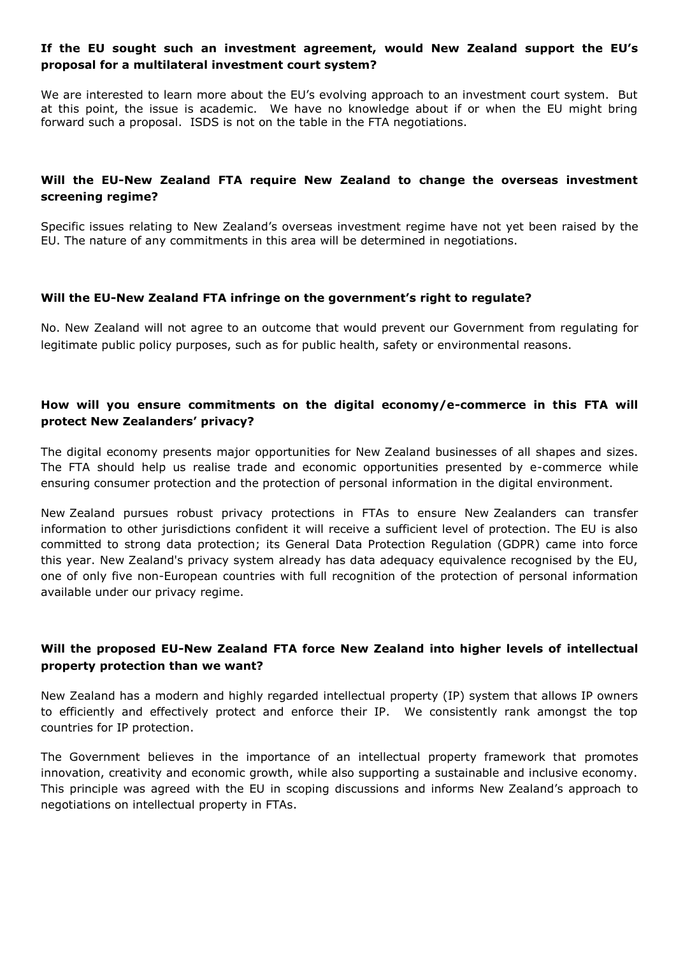### **If the EU sought such an investment agreement, would New Zealand support the EU's proposal for a multilateral investment court system?**

We are interested to learn more about the EU's evolving approach to an investment court system. But at this point, the issue is academic. We have no knowledge about if or when the EU might bring forward such a proposal. ISDS is not on the table in the FTA negotiations.

# **Will the EU-New Zealand FTA require New Zealand to change the overseas investment screening regime?**

Specific issues relating to New Zealand's overseas investment regime have not yet been raised by the EU. The nature of any commitments in this area will be determined in negotiations.

#### **Will the EU-New Zealand FTA infringe on the government's right to regulate?**

No. New Zealand will not agree to an outcome that would prevent our Government from regulating for legitimate public policy purposes, such as for public health, safety or environmental reasons.

# **How will you ensure commitments on the digital economy/e-commerce in this FTA will protect New Zealanders' privacy?**

The digital economy presents major opportunities for New Zealand businesses of all shapes and sizes. The FTA should help us realise trade and economic opportunities presented by e-commerce while ensuring consumer protection and the protection of personal information in the digital environment.

New Zealand pursues robust privacy protections in FTAs to ensure New Zealanders can transfer information to other jurisdictions confident it will receive a sufficient level of protection. The EU is also committed to strong data protection; its General Data Protection Regulation (GDPR) came into force this year. New Zealand's privacy system already has data adequacy equivalence recognised by the EU, one of only five non-European countries with full recognition of the protection of personal information available under our privacy regime.

# **Will the proposed EU-New Zealand FTA force New Zealand into higher levels of intellectual property protection than we want?**

New Zealand has a modern and highly regarded intellectual property (IP) system that allows IP owners to efficiently and effectively protect and enforce their IP. We consistently rank amongst the top countries for IP protection.

The Government believes in the importance of an intellectual property framework that promotes innovation, creativity and economic growth, while also supporting a sustainable and inclusive economy. This principle was agreed with the EU in scoping discussions and informs New Zealand's approach to negotiations on intellectual property in FTAs.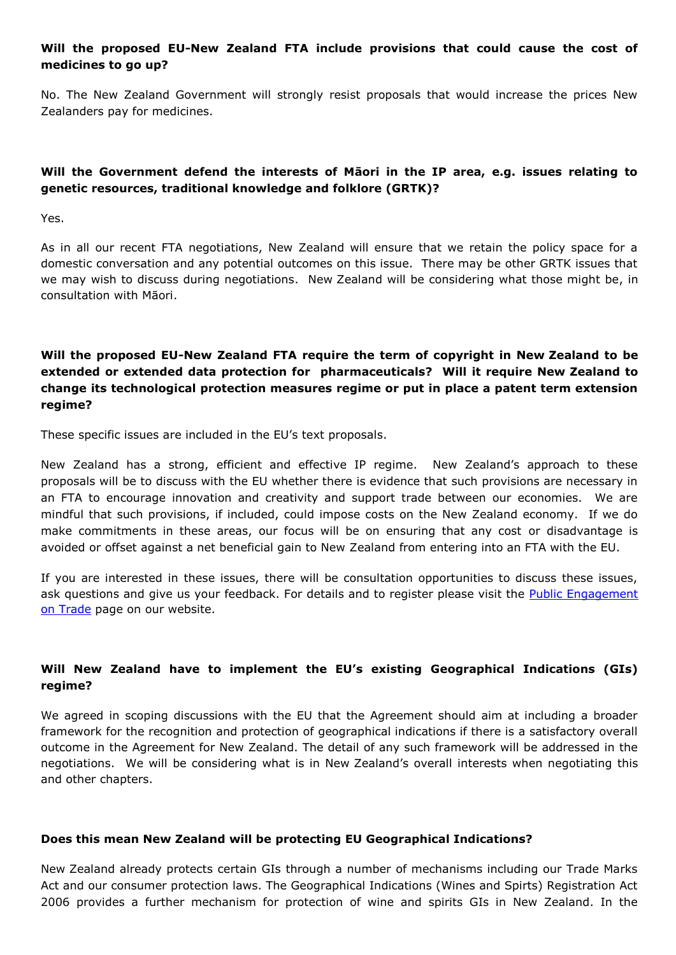# **Will the proposed EU-New Zealand FTA include provisions that could cause the cost of medicines to go up?**

No. The New Zealand Government will strongly resist proposals that would increase the prices New Zealanders pay for medicines.

# **Will the Government defend the interests of Māori in the IP area, e.g. issues relating to genetic resources, traditional knowledge and folklore (GRTK)?**

Yes.

As in all our recent FTA negotiations, New Zealand will ensure that we retain the policy space for a domestic conversation and any potential outcomes on this issue. There may be other GRTK issues that we may wish to discuss during negotiations. New Zealand will be considering what those might be, in consultation with Māori.

# **Will the proposed EU-New Zealand FTA require the term of copyright in New Zealand to be extended or extended data protection for pharmaceuticals? Will it require New Zealand to change its technological protection measures regime or put in place a patent term extension regime?**

These specific issues are included in the EU's text proposals.

New Zealand has a strong, efficient and effective IP regime. New Zealand's approach to these proposals will be to discuss with the EU whether there is evidence that such provisions are necessary in an FTA to encourage innovation and creativity and support trade between our economies. We are mindful that such provisions, if included, could impose costs on the New Zealand economy. If we do make commitments in these areas, our focus will be on ensuring that any cost or disadvantage is avoided or offset against a net beneficial gain to New Zealand from entering into an FTA with the EU.

If you are interested in these issues, there will be consultation opportunities to discuss these issues, ask questions and give us your feedback. For details and to register please visit the **Public Engagement** [on Trade](https://www.mfat.govt.nz/en/trade/nz-trade-policy/public-engagement-on-trade/) page on our website.

# **Will New Zealand have to implement the EU's existing Geographical Indications (GIs) regime?**

We agreed in scoping discussions with the EU that the Agreement should aim at including a broader framework for the recognition and protection of geographical indications if there is a satisfactory overall outcome in the Agreement for New Zealand. The detail of any such framework will be addressed in the negotiations. We will be considering what is in New Zealand's overall interests when negotiating this and other chapters.

#### **Does this mean New Zealand will be protecting EU Geographical Indications?**

New Zealand already protects certain GIs through a number of mechanisms including our Trade Marks Act and our consumer protection laws. The Geographical Indications (Wines and Spirts) Registration Act 2006 provides a further mechanism for protection of wine and spirits GIs in New Zealand. In the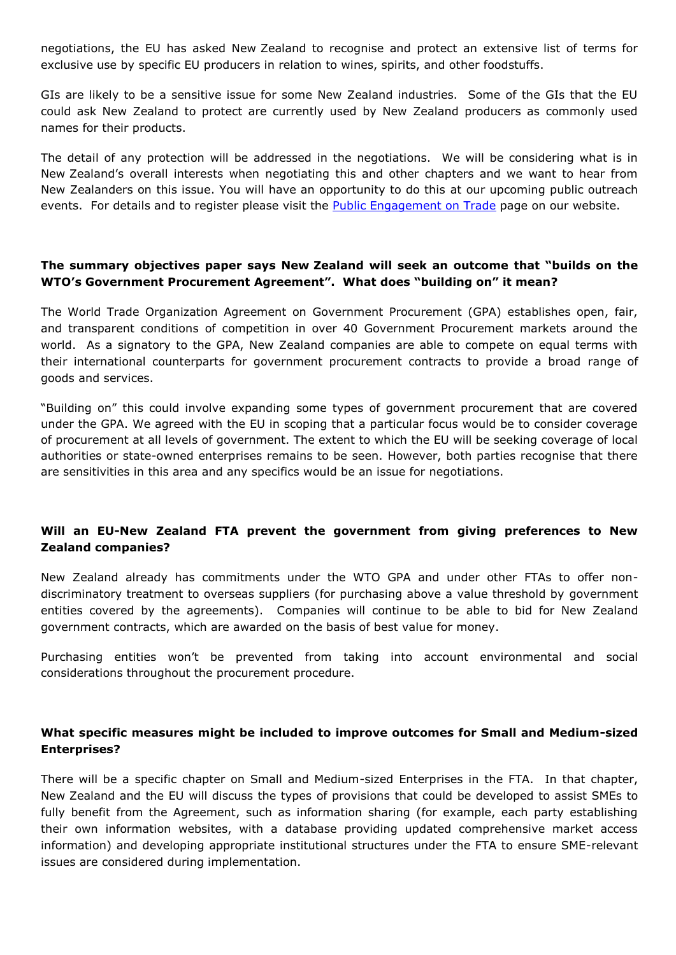negotiations, the EU has asked New Zealand to recognise and protect an extensive list of terms for exclusive use by specific EU producers in relation to wines, spirits, and other foodstuffs.

GIs are likely to be a sensitive issue for some New Zealand industries. Some of the GIs that the EU could ask New Zealand to protect are currently used by New Zealand producers as commonly used names for their products.

The detail of any protection will be addressed in the negotiations. We will be considering what is in New Zealand's overall interests when negotiating this and other chapters and we want to hear from New Zealanders on this issue. You will have an opportunity to do this at our upcoming public outreach events. For details and to register please visit the [Public Engagement on Trade](https://www.mfat.govt.nz/en/trade/nz-trade-policy/public-engagement-on-trade/) page on our website.

#### **The summary objectives paper says New Zealand will seek an outcome that "builds on the WTO's Government Procurement Agreement". What does "building on" it mean?**

The World Trade Organization Agreement on Government Procurement (GPA) establishes open, fair, and transparent conditions of competition in over 40 Government Procurement markets around the world. As a signatory to the GPA, New Zealand companies are able to compete on equal terms with their international counterparts for government procurement contracts to provide a broad range of goods and services.

"Building on" this could involve expanding some types of government procurement that are covered under the GPA. We agreed with the EU in scoping that a particular focus would be to consider coverage of procurement at all levels of government. The extent to which the EU will be seeking coverage of local authorities or state-owned enterprises remains to be seen. However, both parties recognise that there are sensitivities in this area and any specifics would be an issue for negotiations.

# **Will an EU-New Zealand FTA prevent the government from giving preferences to New Zealand companies?**

New Zealand already has commitments under the WTO GPA and under other FTAs to offer nondiscriminatory treatment to overseas suppliers (for purchasing above a value threshold by government entities covered by the agreements). Companies will continue to be able to bid for New Zealand government contracts, which are awarded on the basis of best value for money.

Purchasing entities won't be prevented from taking into account environmental and social considerations throughout the procurement procedure.

# **What specific measures might be included to improve outcomes for Small and Medium-sized Enterprises?**

There will be a specific chapter on Small and Medium-sized Enterprises in the FTA. In that chapter, New Zealand and the EU will discuss the types of provisions that could be developed to assist SMEs to fully benefit from the Agreement, such as information sharing (for example, each party establishing their own information websites, with a database providing updated comprehensive market access information) and developing appropriate institutional structures under the FTA to ensure SME-relevant issues are considered during implementation.